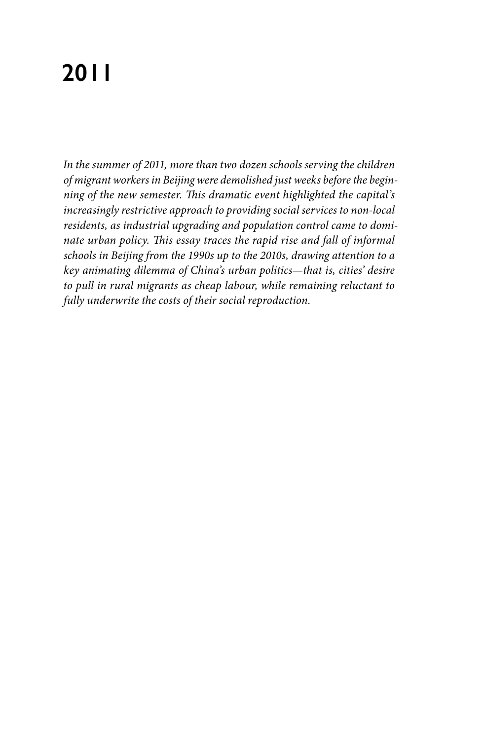# **2011**

*In the summer of 2011, more than two dozen schools serving the children of migrant workers in Beijing were demolished just weeks before the beginning of the new semester. This dramatic event highlighted the capital's increasingly restrictive approach to providing social services to non-local residents, as industrial upgrading and population control came to dominate urban policy. This essay traces the rapid rise and fall of informal schools in Beijing from the 1990s up to the 2010s, drawing attention to a key animating dilemma of China's urban politics—that is, cities' desire to pull in rural migrants as cheap labour, while remaining reluctant to fully underwrite the costs of their social reproduction.*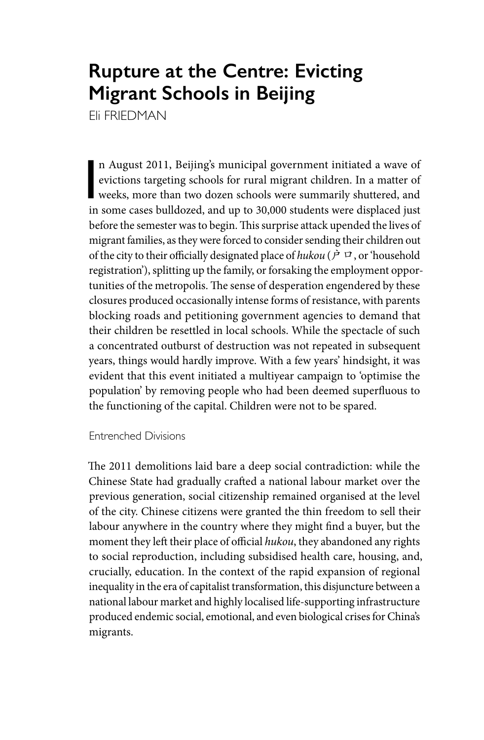## **Rupture at the Centre: Evicting Migrant Schools in Beijing**

Eli FRIEDMAN

n August 2011, Beijing's municipal government initiated a wave of<br>evictions targeting schools for rural migrant children. In a matter of<br>weeks, more than two dozen schools were summarily shuttered, and<br>in some cases bulldo n August 2011, Beijing's municipal government initiated a wave of evictions targeting schools for rural migrant children. In a matter of in some cases bulldozed, and up to 30,000 students were displaced just before the semester was to begin. This surprise attack upended the lives of migrant families, as they were forced to consider sending their children out of the city to their officially designated place of *hukou* ( $\dot{P}$   $\Box$ , or 'household registration'), splitting up the family, or forsaking the employment opportunities of the metropolis. The sense of desperation engendered by these closures produced occasionally intense forms of resistance, with parents blocking roads and petitioning government agencies to demand that their children be resettled in local schools. While the spectacle of such a concentrated outburst of destruction was not repeated in subsequent years, things would hardly improve. With a few years' hindsight, it was evident that this event initiated a multiyear campaign to 'optimise the population' by removing people who had been deemed superfluous to the functioning of the capital. Children were not to be spared.

Entrenched Divisions

The 2011 demolitions laid bare a deep social contradiction: while the Chinese State had gradually crafted a national labour market over the previous generation, social citizenship remained organised at the level of the city. Chinese citizens were granted the thin freedom to sell their labour anywhere in the country where they might find a buyer, but the moment they left their place of official *hukou*, they abandoned any rights to social reproduction, including subsidised health care, housing, and, crucially, education. In the context of the rapid expansion of regional inequality in the era of capitalist transformation, this disjuncture between a national labour market and highly localised life-supporting infrastructure produced endemic social, emotional, and even biological crises for China's migrants.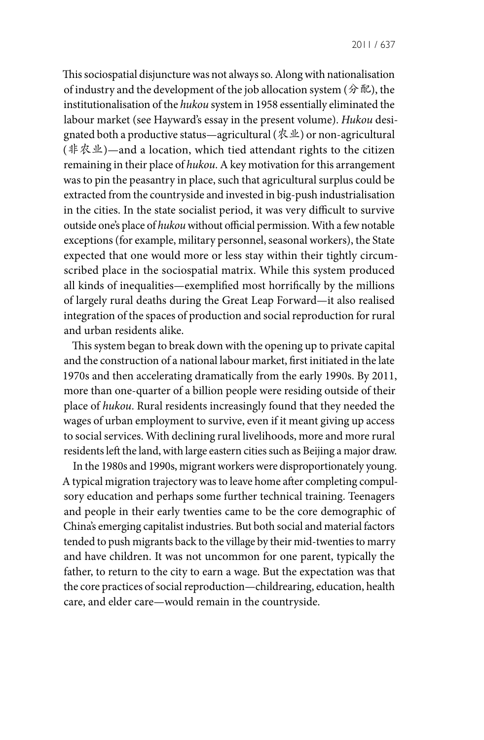This sociospatial disjuncture was not always so. Along with nationalisation of industry and the development of the job allocation system (分配), the institutionalisation of the *hukou* system in 1958 essentially eliminated the labour market (see Hayward's essay in the present volume). *Hukou* designated both a productive status—agricultural (农业) or non-agricultural (非农业)—and a location, which tied attendant rights to the citizen remaining in their place of *hukou*. A key motivation for this arrangement was to pin the peasantry in place, such that agricultural surplus could be extracted from the countryside and invested in big-push industrialisation in the cities. In the state socialist period, it was very difficult to survive outside one's place of *hukou* without official permission. With a few notable exceptions (for example, military personnel, seasonal workers), the State expected that one would more or less stay within their tightly circumscribed place in the sociospatial matrix. While this system produced all kinds of inequalities—exemplified most horrifically by the millions of largely rural deaths during the Great Leap Forward—it also realised integration of the spaces of production and social reproduction for rural and urban residents alike.

This system began to break down with the opening up to private capital and the construction of a national labour market, first initiated in the late 1970s and then accelerating dramatically from the early 1990s. By 2011, more than one-quarter of a billion people were residing outside of their place of *hukou*. Rural residents increasingly found that they needed the wages of urban employment to survive, even if it meant giving up access to social services. With declining rural livelihoods, more and more rural residents left the land, with large eastern cities such as Beijing a major draw.

In the 1980s and 1990s, migrant workers were disproportionately young. A typical migration trajectory was to leave home after completing compulsory education and perhaps some further technical training. Teenagers and people in their early twenties came to be the core demographic of China's emerging capitalist industries. But both social and material factors tended to push migrants back to the village by their mid-twenties to marry and have children. It was not uncommon for one parent, typically the father, to return to the city to earn a wage. But the expectation was that the core practices of social reproduction—childrearing, education, health care, and elder care—would remain in the countryside.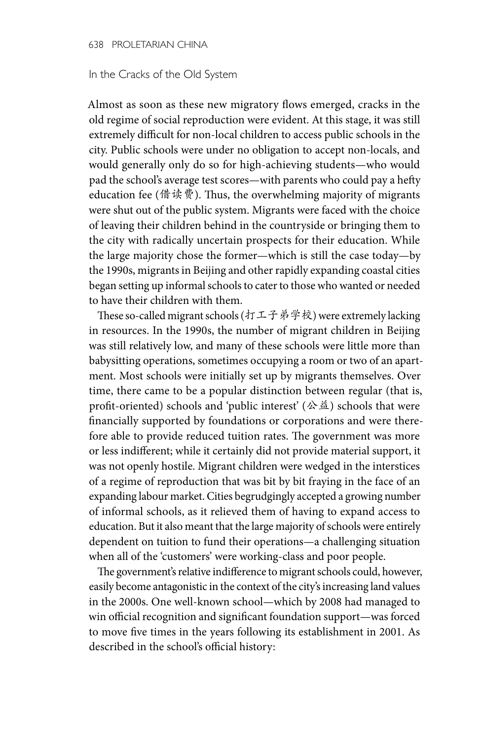#### In the Cracks of the Old System

Almost as soon as these new migratory flows emerged, cracks in the old regime of social reproduction were evident. At this stage, it was still extremely difficult for non-local children to access public schools in the city. Public schools were under no obligation to accept non-locals, and would generally only do so for high-achieving students—who would pad the school's average test scores—with parents who could pay a hefty education fee (借读费). Thus, the overwhelming majority of migrants were shut out of the public system. Migrants were faced with the choice of leaving their children behind in the countryside or bringing them to the city with radically uncertain prospects for their education. While the large majority chose the former—which is still the case today—by the 1990s, migrants in Beijing and other rapidly expanding coastal cities began setting up informal schools to cater to those who wanted or needed to have their children with them.

These so-called migrant schools (打工子弟学校) were extremely lacking in resources. In the 1990s, the number of migrant children in Beijing was still relatively low, and many of these schools were little more than babysitting operations, sometimes occupying a room or two of an apartment. Most schools were initially set up by migrants themselves. Over time, there came to be a popular distinction between regular (that is, profit-oriented) schools and 'public interest' ( $\triangle \hat{\mathbb{A}}$ ) schools that were financially supported by foundations or corporations and were therefore able to provide reduced tuition rates. The government was more or less indifferent; while it certainly did not provide material support, it was not openly hostile. Migrant children were wedged in the interstices of a regime of reproduction that was bit by bit fraying in the face of an expanding labour market. Cities begrudgingly accepted a growing number of informal schools, as it relieved them of having to expand access to education. But it also meant that the large majority of schools were entirely dependent on tuition to fund their operations—a challenging situation when all of the 'customers' were working-class and poor people.

The government's relative indifference to migrant schools could, however, easily become antagonistic in the context of the city's increasing land values in the 2000s. One well-known school—which by 2008 had managed to win official recognition and significant foundation support—was forced to move five times in the years following its establishment in 2001. As described in the school's official history: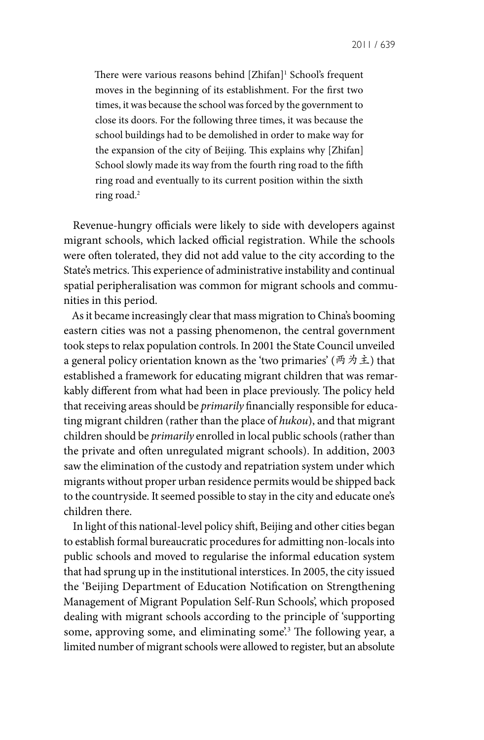There were various reasons behind [Zhifan]<sup>1</sup> School's frequent moves in the beginning of its establishment. For the first two times, it was because the school was forced by the government to close its doors. For the following three times, it was because the school buildings had to be demolished in order to make way for the expansion of the city of Beijing. This explains why [Zhifan] School slowly made its way from the fourth ring road to the fifth ring road and eventually to its current position within the sixth ring road.2

Revenue-hungry officials were likely to side with developers against migrant schools, which lacked official registration. While the schools were often tolerated, they did not add value to the city according to the State's metrics. This experience of administrative instability and continual spatial peripheralisation was common for migrant schools and communities in this period.

As it became increasingly clear that mass migration to China's booming eastern cities was not a passing phenomenon, the central government took steps to relax population controls. In 2001 the State Council unveiled a general policy orientation known as the 'two primaries' (两为主) that established a framework for educating migrant children that was remarkably different from what had been in place previously. The policy held that receiving areas should be *primarily* financially responsible for educating migrant children (rather than the place of *hukou*), and that migrant children should be *primarily* enrolled in local public schools (rather than the private and often unregulated migrant schools). In addition, 2003 saw the elimination of the custody and repatriation system under which migrants without proper urban residence permits would be shipped back to the countryside. It seemed possible to stay in the city and educate one's children there.

In light of this national-level policy shift, Beijing and other cities began to establish formal bureaucratic procedures for admitting non-locals into public schools and moved to regularise the informal education system that had sprung up in the institutional interstices. In 2005, the city issued the 'Beijing Department of Education Notification on Strengthening Management of Migrant Population Self-Run Schools', which proposed dealing with migrant schools according to the principle of 'supporting some, approving some, and eliminating some.<sup>3</sup> The following year, a limited number of migrant schools were allowed to register, but an absolute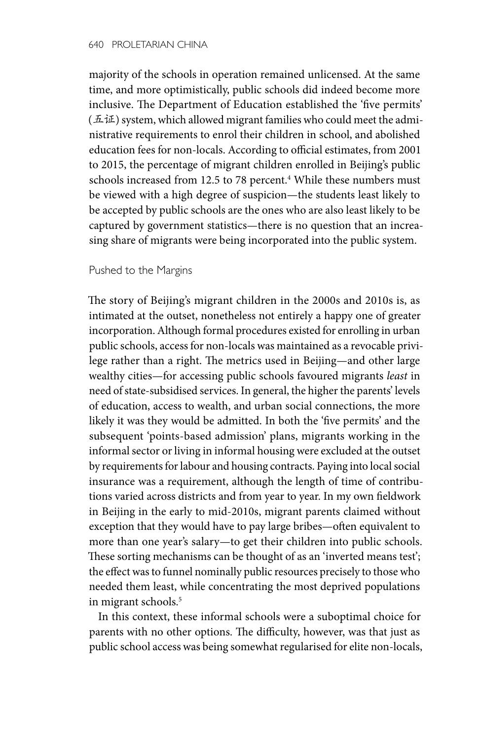majority of the schools in operation remained unlicensed. At the same time, and more optimistically, public schools did indeed become more inclusive. The Department of Education established the 'five permits'  $(1.11)$  system, which allowed migrant families who could meet the administrative requirements to enrol their children in school, and abolished education fees for non-locals. According to official estimates, from 2001 to 2015, the percentage of migrant children enrolled in Beijing's public schools increased from 12.5 to 78 percent.<sup>4</sup> While these numbers must be viewed with a high degree of suspicion—the students least likely to be accepted by public schools are the ones who are also least likely to be captured by government statistics—there is no question that an increasing share of migrants were being incorporated into the public system.

#### Pushed to the Margins

The story of Beijing's migrant children in the 2000s and 2010s is, as intimated at the outset, nonetheless not entirely a happy one of greater incorporation. Although formal procedures existed for enrolling in urban public schools, access for non-locals was maintained as a revocable privilege rather than a right. The metrics used in Beijing—and other large wealthy cities—for accessing public schools favoured migrants *least* in need of state-subsidised services. In general, the higher the parents' levels of education, access to wealth, and urban social connections, the more likely it was they would be admitted. In both the 'five permits' and the subsequent 'points-based admission' plans, migrants working in the informal sector or living in informal housing were excluded at the outset by requirements for labour and housing contracts. Paying into local social insurance was a requirement, although the length of time of contributions varied across districts and from year to year. In my own fieldwork in Beijing in the early to mid-2010s, migrant parents claimed without exception that they would have to pay large bribes—often equivalent to more than one year's salary—to get their children into public schools. These sorting mechanisms can be thought of as an 'inverted means test'; the effect was to funnel nominally public resources precisely to those who needed them least, while concentrating the most deprived populations in migrant schools.<sup>5</sup>

In this context, these informal schools were a suboptimal choice for parents with no other options. The difficulty, however, was that just as public school access was being somewhat regularised for elite non-locals,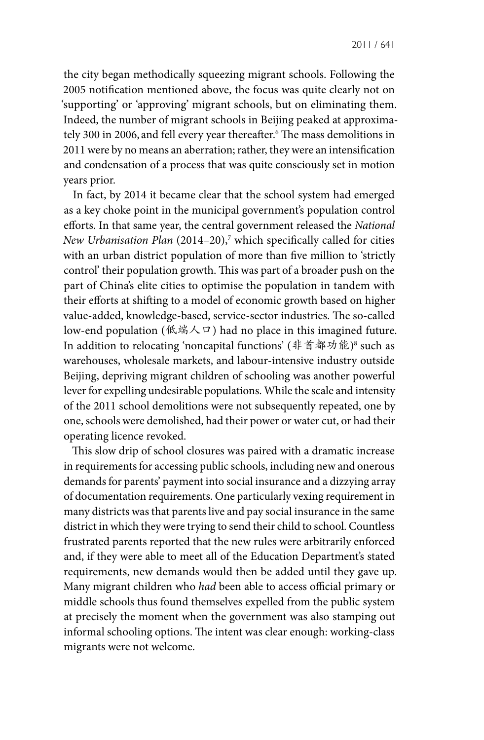the city began methodically squeezing migrant schools. Following the 2005 notification mentioned above, the focus was quite clearly not on 'supporting' or 'approving' migrant schools, but on eliminating them. Indeed, the number of migrant schools in Beijing peaked at approximately 300 in 2006, and fell every year thereafter.6 The mass demolitions in 2011 were by no means an aberration; rather, they were an intensification and condensation of a process that was quite consciously set in motion years prior.

In fact, by 2014 it became clear that the school system had emerged as a key choke point in the municipal government's population control efforts. In that same year, the central government released the *National New Urbanisation Plan* (2014–20),7 which specifically called for cities with an urban district population of more than five million to 'strictly control' their population growth. This was part of a broader push on the part of China's elite cities to optimise the population in tandem with their efforts at shifting to a model of economic growth based on higher value-added, knowledge-based, service-sector industries. The so-called low-end population (低端人口) had no place in this imagined future. In addition to relocating 'noncapital functions' (非首都功能)<sup>8</sup> such as warehouses, wholesale markets, and labour-intensive industry outside Beijing, depriving migrant children of schooling was another powerful lever for expelling undesirable populations. While the scale and intensity of the 2011 school demolitions were not subsequently repeated, one by one, schools were demolished, had their power or water cut, or had their operating licence revoked.

This slow drip of school closures was paired with a dramatic increase in requirements for accessing public schools, including new and onerous demands for parents' payment into social insurance and a dizzying array of documentation requirements. One particularly vexing requirement in many districts was that parents live and pay social insurance in the same district in which they were trying to send their child to school. Countless frustrated parents reported that the new rules were arbitrarily enforced and, if they were able to meet all of the Education Department's stated requirements, new demands would then be added until they gave up. Many migrant children who *had* been able to access official primary or middle schools thus found themselves expelled from the public system at precisely the moment when the government was also stamping out informal schooling options. The intent was clear enough: working-class migrants were not welcome.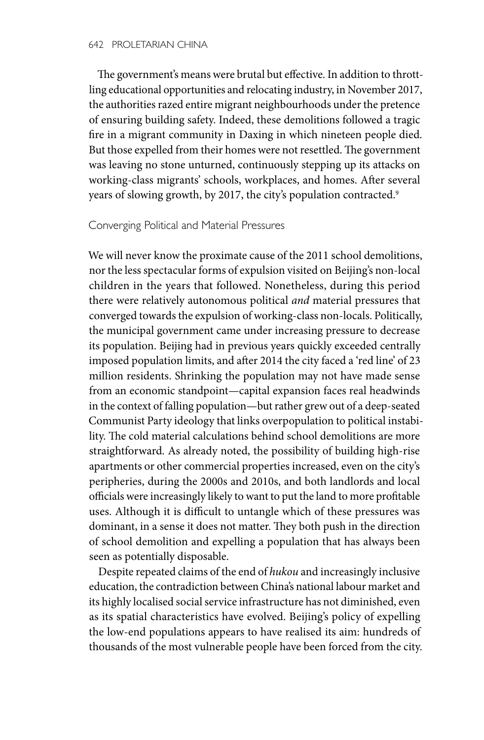The government's means were brutal but effective. In addition to throttling educational opportunities and relocating industry, in November 2017, the authorities razed entire migrant neighbourhoods under the pretence of ensuring building safety. Indeed, these demolitions followed a tragic fire in a migrant community in Daxing in which nineteen people died. But those expelled from their homes were not resettled. The government was leaving no stone unturned, continuously stepping up its attacks on working-class migrants' schools, workplaces, and homes. After several years of slowing growth, by 2017, the city's population contracted.<sup>9</sup>

### Converging Political and Material Pressures

We will never know the proximate cause of the 2011 school demolitions, nor the less spectacular forms of expulsion visited on Beijing's non-local children in the years that followed. Nonetheless, during this period there were relatively autonomous political *and* material pressures that converged towards the expulsion of working-class non-locals. Politically, the municipal government came under increasing pressure to decrease its population. Beijing had in previous years quickly exceeded centrally imposed population limits, and after 2014 the city faced a 'red line' of 23 million residents. Shrinking the population may not have made sense from an economic standpoint—capital expansion faces real headwinds in the context of falling population—but rather grew out of a deep-seated Communist Party ideology that links overpopulation to political instability. The cold material calculations behind school demolitions are more straightforward. As already noted, the possibility of building high-rise apartments or other commercial properties increased, even on the city's peripheries, during the 2000s and 2010s, and both landlords and local officials were increasingly likely to want to put the land to more profitable uses. Although it is difficult to untangle which of these pressures was dominant, in a sense it does not matter. They both push in the direction of school demolition and expelling a population that has always been seen as potentially disposable.

Despite repeated claims of the end of *hukou* and increasingly inclusive education, the contradiction between China's national labour market and its highly localised social service infrastructure has not diminished, even as its spatial characteristics have evolved. Beijing's policy of expelling the low-end populations appears to have realised its aim: hundreds of thousands of the most vulnerable people have been forced from the city.